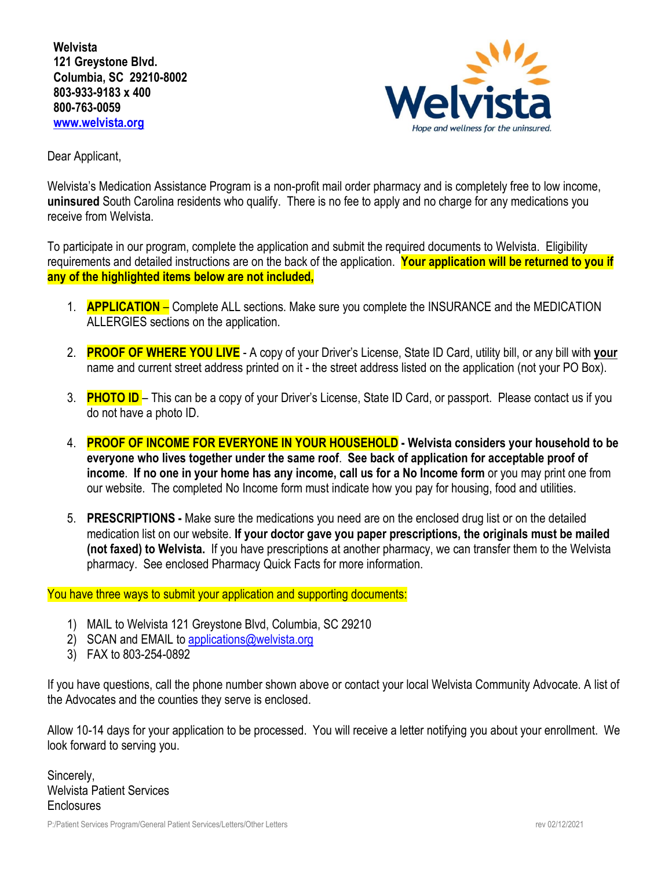**Welvista 121 Greystone Blvd. Columbia, SC 29210-8002 803-933-9183 x 400 800-763-0059 [www.welvista.org](http://www.welvista.org/)**



Dear Applicant,

Welvista's Medication Assistance Program is a non-profit mail order pharmacy and is completely free to low income, **uninsured** South Carolina residents who qualify. There is no fee to apply and no charge for any medications you receive from Welvista.

To participate in our program, complete the application and submit the required documents to Welvista. Eligibility requirements and detailed instructions are on the back of the application. **Your application will be returned to you if any of the highlighted items below are not included,** 

- 1. **APPLICATION** Complete ALL sections. Make sure you complete the INSURANCE and the MEDICATION ALLERGIES sections on the application.
- 2. **PROOF OF WHERE YOU LIVE** A copy of your Driver's License, State ID Card, utility bill, or any bill with **your** name and current street address printed on it - the street address listed on the application (not your PO Box).
- 3. **PHOTO ID**  This can be a copy of your Driver's License, State ID Card, or passport. Please contact us if you do not have a photo ID.
- 4. **PROOF OF INCOME FOR EVERYONE IN YOUR HOUSEHOLD Welvista considers your household to be everyone who lives together under the same roof**. **See back of application for acceptable proof of income**. **If no one in your home has any income, call us for a No Income form** or you may print one from our website. The completed No Income form must indicate how you pay for housing, food and utilities.
- 5. **PRESCRIPTIONS** Make sure the medications you need are on the enclosed drug list or on the detailed medication list on our website. **If your doctor gave you paper prescriptions, the originals must be mailed (not faxed) to Welvista.** If you have prescriptions at another pharmacy, we can transfer them to the Welvista pharmacy. See enclosed Pharmacy Quick Facts for more information.

You have three ways to submit your application and supporting documents:

- 1) MAIL to Welvista 121 Greystone Blvd, Columbia, SC 29210
- 2) SCAN and EMAIL t[o applications@welvista.org](mailto:applications@welvista.org)
- 3) FAX to 803-254-0892

If you have questions, call the phone number shown above or contact your local Welvista Community Advocate. A list of the Advocates and the counties they serve is enclosed.

Allow 10-14 days for your application to be processed. You will receive a letter notifying you about your enrollment. We look forward to serving you.

Sincerely, Welvista Patient Services **Enclosures**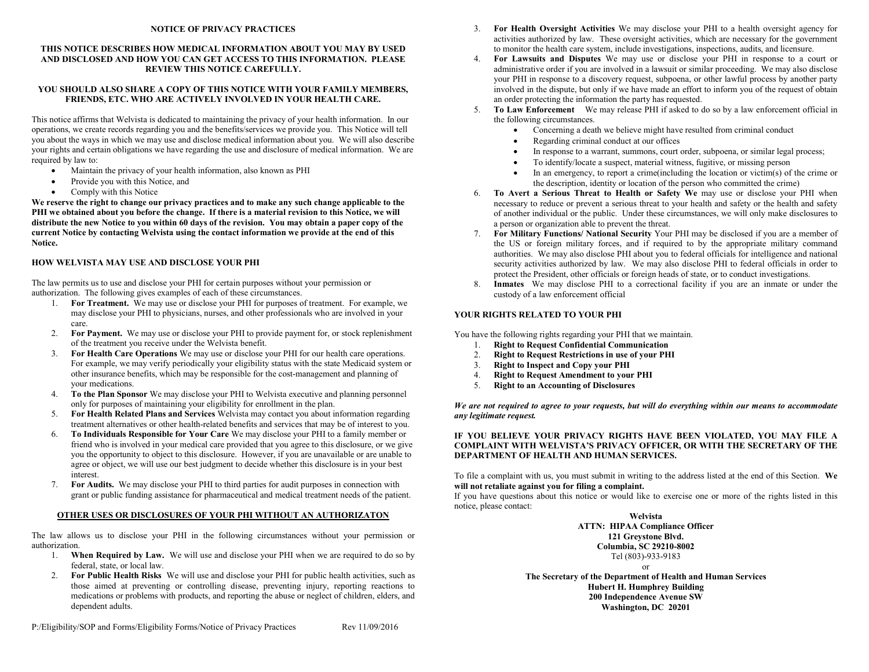#### **NOTICE OF PRIVACY PRACTICES**

### **THIS NOTICE DESCRIBES HOW MEDICAL INFORMATION ABOUT YOU MAY BY USED AND DISCLOSED AND HOW YOU CAN GET ACCESS TO THIS INFORMATION. PLEASE REVIEW THIS NOTICE CAREFULLY.**

### **YOU SHOULD ALSO SHARE A COPY OF THIS NOTICE WITH YOUR FAMILY MEMBERS, FRIENDS, ETC. WHO ARE ACTIVELY INVOLVED IN YOUR HEALTH CARE.**

This notice affirms that Welvista is dedicated to maintaining the privacy of your health information. In our operations, we create records regarding you and the benefits/services we provide you. This Notice will tell you about the ways in which we may use and disclose medical information about you. We will also describe your rights and certain obligations we have regarding the use and disclosure of medical information. We are required by law to:

- Maintain the privacy of your health information, also known as PHI
- Provide you with this Notice, and
- Comply with this Notice

**We reserve the right to change our privacy practices and to make any such change applicable to the PHI we obtained about you before the change. If there is a material revision to this Notice, we will distribute the new Notice to you within 60 days of the revision. You may obtain a paper copy of the current Notice by contacting Welvista using the contact information we provide at the end of this Notice.** 

### **HOW WELVISTA MAY USE AND DISCLOSE YOUR PHI**

The law permits us to use and disclose your PHI for certain purposes without your permission or authorization. The following gives examples of each of these circumstances.

- 1. **For Treatment.** We may use or disclose your PHI for purposes of treatment. For example, we may disclose your PHI to physicians, nurses, and other professionals who are involved in your care.
- 2. **For Payment.** We may use or disclose your PHI to provide payment for, or stock replenishment of the treatment you receive under the Welvista benefit.
- 3. **For Health Care Operations** We may use or disclose your PHI for our health care operations. For example, we may verify periodically your eligibility status with the state Medicaid system or other insurance benefits, which may be responsible for the cost-management and planning of your medications.
- 4. **To the Plan Sponsor** We may disclose your PHI to Welvista executive and planning personnel only for purposes of maintaining your eligibility for enrollment in the plan.
- 5. **For Health Related Plans and Services** Welvista may contact you about information regarding treatment alternatives or other health-related benefits and services that may be of interest to you.
- 6. **To Individuals Responsible for Your Care** We may disclose your PHI to a family member or friend who is involved in your medical care provided that you agree to this disclosure, or we give you the opportunity to object to this disclosure. However, if you are unavailable or are unable to agree or object, we will use our best judgment to decide whether this disclosure is in your best interest.
- 7. **For Audits.** We may disclose your PHI to third parties for audit purposes in connection with grant or public funding assistance for pharmaceutical and medical treatment needs of the patient.

### **OTHER USES OR DISCLOSURES OF YOUR PHI WITHOUT AN AUTHORIZATON**

The law allows us to disclose your PHI in the following circumstances without your permission or authorization.

- 1. **When Required by Law.** We will use and disclose your PHI when we are required to do so by federal, state, or local law.
- 2. **For Public Health Risks** We will use and disclose your PHI for public health activities, such as those aimed at preventing or controlling disease, preventing injury, reporting reactions to medications or problems with products, and reporting the abuse or neglect of children, elders, and dependent adults.
- 3. **For Health Oversight Activities** We may disclose your PHI to a health oversight agency for activities authorized by law. These oversight activities, which are necessary for the government to monitor the health care system, include investigations, inspections, audits, and licensure.
- 4. **For Lawsuits and Disputes** We may use or disclose your PHI in response to a court or administrative order if you are involved in a lawsuit or similar proceeding. We may also disclose your PHI in response to a discovery request, subpoena, or other lawful process by another party involved in the dispute, but only if we have made an effort to inform you of the request of obtain an order protecting the information the party has requested.
- 5. **To Law Enforcement** We may release PHI if asked to do so by a law enforcement official in the following circumstances.
	- Concerning a death we believe might have resulted from criminal conduct
	- Regarding criminal conduct at our offices
	- In response to a warrant, summons, court order, subpoena, or similar legal process;
	- To identify/locate a suspect, material witness, fugitive, or missing person
	- In an emergency, to report a crime(including the location or victim(s) of the crime or the description, identity or location of the person who committed the crime)
- 6. **To Avert a Serious Threat to Health or Safety We** may use or disclose your PHI when necessary to reduce or prevent a serious threat to your health and safety or the health and safety of another individual or the public. Under these circumstances, we will only make disclosures to a person or organization able to prevent the threat.
- 7. **For Military Functions/ National Security** Your PHI may be disclosed if you are a member of the US or foreign military forces, and if required to by the appropriate military command authorities. We may also disclose PHI about you to federal officials for intelligence and national security activities authorized by law. We may also disclose PHI to federal officials in order to protect the President, other officials or foreign heads of state, or to conduct investigations.
- 8. **Inmates** We may disclose PHI to a correctional facility if you are an inmate or under the custody of a law enforcement official

### **YOUR RIGHTS RELATED TO YOUR PHI**

You have the following rights regarding your PHI that we maintain.

- 1. **Right to Request Confidential Communication**
- 2. **Right to Request Restrictions in use of your PHI**
- 3. **Right to Inspect and Copy your PHI**
- 4. **Right to Request Amendment to your PHI**
- 5. **Right to an Accounting of Disclosures**

*We are not required to agree to your requests, but will do everything within our means to accommodate any legitimate request.*

### **IF YOU BELIEVE YOUR PRIVACY RIGHTS HAVE BEEN VIOLATED, YOU MAY FILE A COMPLAINT WITH WELVISTA'S PRIVACY OFFICER, OR WITH THE SECRETARY OF THE DEPARTMENT OF HEALTH AND HUMAN SERVICES.**

To file a complaint with us, you must submit in writing to the address listed at the end of this Section. **We will not retaliate against you for filing a complaint.**

If you have questions about this notice or would like to exercise one or more of the rights listed in this notice, please contact:

> **Welvista ATTN: HIPAA Compliance Officer 121 Greystone Blvd. Columbia, SC 29210-8002** Tel (803)-933-9183

**The Secretary of the Department of Health and Human Services Hubert H. Humphrey Building 200 Independence Avenue SW Washington, DC 20201**

or

P:/Eligibility/SOP and Forms/Eligibility Forms/Notice of Privacy Practices Rev 11/09/2016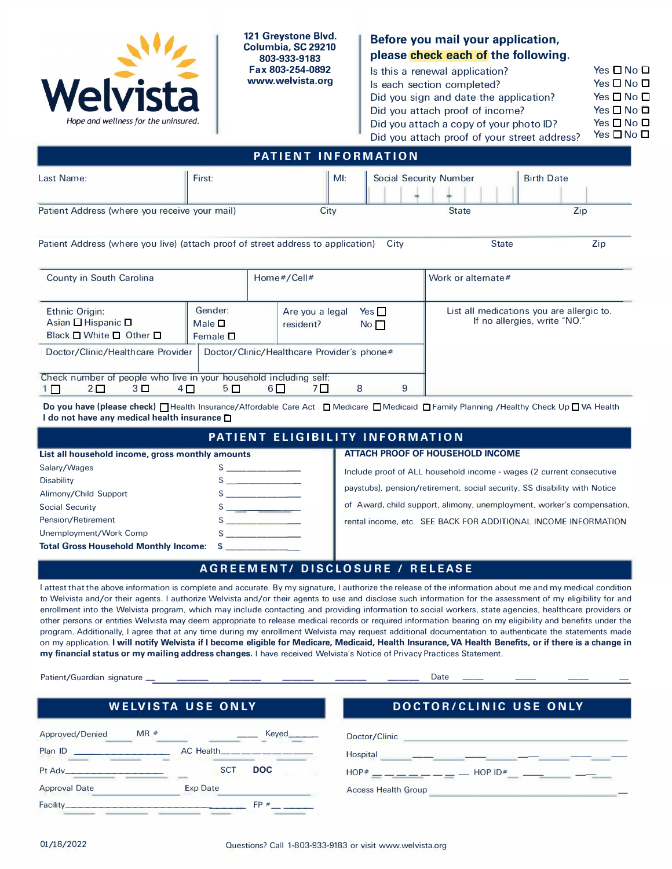

**121 Greystone Blvd. Columbia, SC 29210 803-933-9183 Fax 803-254-0892 www.welvista.org** 

# **Before you mail your application, please check each of the following.**

| Is this a renewal application?               | Yes $\square$ No $\square$ |
|----------------------------------------------|----------------------------|
| Is each section completed?                   | Yes $\square$ No $\square$ |
| Did you sign and date the application?       | Yes $\square$ No $\square$ |
| Did you attach proof of income?              | Yes $\square$ No $\square$ |
| Did you attach a copy of your photo ID?      | Yes $\Box$ No $\Box$       |
| Did you attach proof of your street address? | Yes $\square$ No $\square$ |

| <b>PATIENT INFORMATION</b>                    |        |        |                               |                   |
|-----------------------------------------------|--------|--------|-------------------------------|-------------------|
| Last Name:                                    | First: | $M!$ : | <b>Social Security Number</b> | <b>Birth Date</b> |
| Patient Address (where you receive your mail) |        | City   | <b>State</b>                  | Zip               |

Patient Address (where you live) (attach proof of street address to application) City State State Zip

| County in South Carolina                                                                          |                                            |       | Home#/Cell#                                |                               |   | Work or alternate#                                                        |
|---------------------------------------------------------------------------------------------------|--------------------------------------------|-------|--------------------------------------------|-------------------------------|---|---------------------------------------------------------------------------|
| Ethnic Origin:<br>Asian $\Box$ Hispanic $\Box$<br>Black $\square$ White $\square$ Other $\square$ | Gender:<br>Male $\square$<br>Female $\Box$ |       | Are you a legal<br>resident?               | Yes $\Box$<br>No <sub>1</sub> |   | List all medications you are allergic to.<br>If no allergies, write "NO." |
| Doctor/Clinic/Healthcare Provider                                                                 |                                            |       | Doctor/Clinic/Healthcare Provider's phone# |                               |   |                                                                           |
| Check number of people who live in your household including self:                                 |                                            |       |                                            |                               |   |                                                                           |
| $2\square$<br>3 <sup>D</sup>                                                                      | $4\Box$<br>$5\Box$                         | 6 I I |                                            | 8                             | 9 |                                                                           |

**Do you have (please check)** □ Health Insurance/Affordable Care Act □ Medicare □ Medicaid □ Family Planning / Healthy Check Up □ VA Health I **do not have any medical health insurance D** 

| PATIENT ELIGIBILITY INFORMATION                  |  |                                                                           |  |  |
|--------------------------------------------------|--|---------------------------------------------------------------------------|--|--|
| List all household income, gross monthly amounts |  | ATTACH PROOF OF HOUSEHOLD INCOME                                          |  |  |
| Salary/Wages                                     |  | Include proof of ALL household income - wages (2 current consecutive      |  |  |
| <b>Disability</b>                                |  |                                                                           |  |  |
| Alimony/Child Support                            |  | paystubs), pension/retirement, social security, SS disability with Notice |  |  |
| Social Security                                  |  | of Award, child support, alimony, unemployment, worker's compensation,    |  |  |
| Pension/Retirement                               |  | rental income, etc. SEE BACK FOR ADDITIONAL INCOME INFORMATION            |  |  |
| Unemployment/Work Comp                           |  |                                                                           |  |  |
| <b>Total Gross Household Monthly Income: \$</b>  |  |                                                                           |  |  |

# **AGREEMENT/ DISCLOSURE / RELEASE**

I attest that the above information is complete and accurate. By my signature, I authorize the release of the information about me and my medical condition to Welvista and/or their agents. I authorize Welvista and/or their agents to use and disclose such information for the assessment of my eligibility for and enrollment into the Welvista program, which may include contacting and providing information to social workers, state agencies, healthcare providers or other persons or entities Welvista may deem appropriate to release medical records or required information bearing on my eligibility and benefits under the program. Additionally, I agree that at any time during my enrollment Welvista may request additional documentation to authenticate the statements made on my application. I **will notify Welvista if** I **become eligible for Medicare, Medicaid, Health Insurance, VA Health Benefits, or if there is a change in my financial status or my mailing address changes.** I have received Welvista's Notice of Privacy Practices Statement.

|                      | Patient/Guardian signature ______ ______ _________ ___ _______ ___ __ |                      | Date                                   |
|----------------------|-----------------------------------------------------------------------|----------------------|----------------------------------------|
|                      | <b>WELVISTA USE ONLY</b>                                              |                      | DOCTOR/CLINIC USE ONLY                 |
| Approved/Denied      | MR#                                                                   |                      |                                        |
|                      |                                                                       | AC Health___________ |                                        |
| Pt Adv               | <b>SCT</b>                                                            | <b>DOC</b>           | $HOP*$ _ _ _ _ _ _ _ _ _ HOP ID* _ _ _ |
| <b>Approval Date</b> | <b>Exp Date</b>                                                       |                      | <b>Access Health Group</b>             |
| Facility_            |                                                                       | FP#                  |                                        |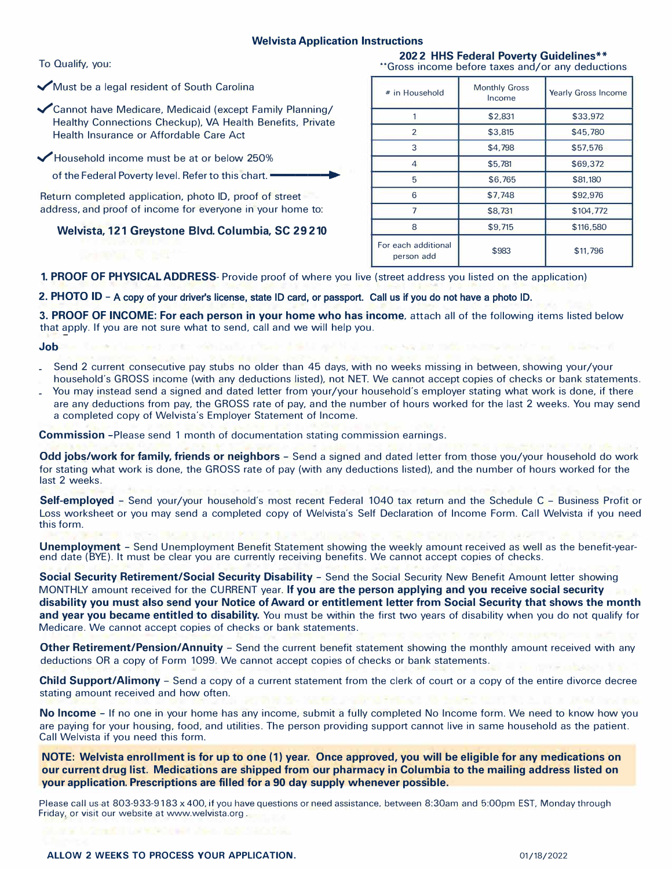### **Welvista Application Instructions**

✓Must be a legal resident of South Carolina

✓cannot have Medicare, Medicaid (except Family Planning/ Healthy Connections Checkup), VA Health Benefits, Private Health Insurance or Affordable Care Act

✓Household income must be at or below 250%

of the Federal Poverty level. Refer to this chart.

Return completed application, photo ID, proof of street address, and proof of income for everyone in your home to:

**Welvista, 121 Greystone Blvd. Columbia, SC 29210** 

To Qualify, you: **2022 HHS Federal Poverty Guidelines\*\***  \*\*Gross income before taxes and/or any deductions

| # in Household                    | <b>Monthly Gross</b><br>Income | <b>Yearly Gross Income</b> |
|-----------------------------------|--------------------------------|----------------------------|
|                                   | \$2,831                        | \$33,972                   |
| $\mathfrak{p}$                    | \$3,815                        | \$45,780                   |
| 3                                 | \$4,798                        | \$57,576                   |
| 4                                 | \$5,781                        | \$69,372                   |
| 5                                 | \$6,765                        | \$81,180                   |
| 6                                 | \$7,748                        | \$92,976                   |
|                                   | \$8,731                        | \$104,772                  |
| 8                                 | \$9,715                        | \$116,580                  |
| For each additional<br>person add | \$983                          | \$11,796                   |

**1. PROOF OF PHYSICAL ADDRESS-** Provide proof of where you live (street address you listed on the application)

### **2. PHOTO ID -** A copy of your driver's license, state ID card, or passport. Call us if you do not have a photo ID.

**3. PROOF OF INCOME: For each person in your home who has income,** attach all of the following items listed below that apply. If you are not sure what to send, call and we will help you.

**Job**

- Send 2 current consecutive pay stubs no older than 45 days, with no weeks missing in between, showing your/your household's GROSS income (with any deductions listed), not NET. We cannot accept copies of checks or bank statements.
- You may instead send a signed and dated letter from your/your household's employer stating what work is done, if there are any deductions from pay, the GROSS rate of pay, and the number of hours worked for the last 2 weeks. You may send a completed copy of Welvista's Employer Statement of Income.

**Commission** -Please send 1 month of documentation stating commission earnings.

**Odd jobs/work for family, friends or neighbors** – Send a signed and dated letter from those you/your household do work for stating what work is done, the GROSS rate of pay (with any deductions listed), and the number of hours worked for the last 2 weeks.

**Self-employed -** Send your/your household's most recent Federal 1040 tax return and the Schedule C - Business Profit or Loss worksheet or you may send a completed copy of Welvista's Self Declaration of Income Form. Call Welvista if you need this form.

**Unemployment -** Send Unemployment Benefit Statement showing the weekly amount received as well as the benefit-yearend date (BYE). It must be clear you are currently receiving benefits. We cannot accept copies of checks.

**Social Security Retirement/Social Security Disability -** Send the Social Security New Benefit Amount letter showing MONTHLY amount received for the CURRENT year. **If you are the person applying and you receive social security disability you must also send your Notice of Award or entitlement letter from Social Security that shows the month and year you became entitled to disability.** You must be within the first two years of disability when you do not qualify for Medicare. We cannot accept copies of checks or bank statements.

**Other Retirement/Pension/Annuity** – Send the current benefit statement showing the monthly amount received with any deductions OR a copy of Form 1099. We cannot accept copies of checks or bank statements.

**Child Support/Alimony -** Send a copy of a current statement from the clerk of court or a copy of the entire divorce decree stating amount received and how often.

**No Income -** If no one in your home has any income, submit a fully completed No Income form. We need to know how you are paying for your housing, food, and utilities. The person providing support cannot live in same household as the patient. Call Welvista if you need this form.

**NOTE: Welvista enrollment is for up to one (1) year. Once approved, you will be eligible for any medications on our current drug list. Medications are shipped from our pharmacy in Columbia to the mailing address listed on your application. Prescriptions are filled for a 90 day supply whenever possible.** 

Please call us at 803-933-9183 x 400, if you have questions or need assistance, between 8:30am and 5:00pm EST, Monday through Friday, or visit our website at www.welvista.org .

 **ALLOW 2 WEEKS TO PROCESS YOUR APPLICATION.** 01/18/2022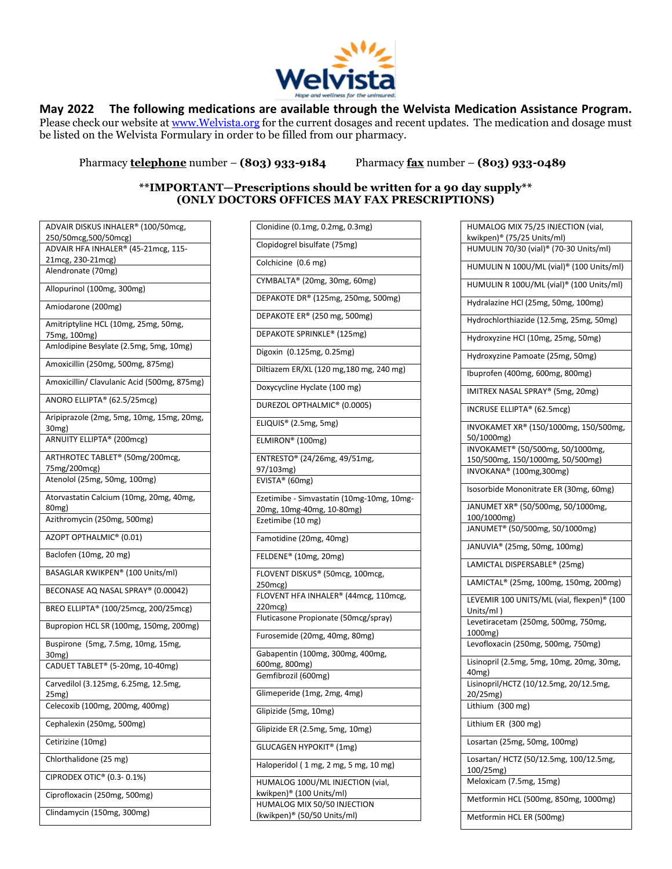

## **May 2022 The following medications are available through the Welvista Medication Assistance Program.**

Please check our website a[t www.Welvista.org](http://www.welvista.org/) for the current dosages and recent updates. The medication and dosage must be listed on the Welvista Formulary in order to be filled from our pharmacy.

Pharmacy **telephone** number – **(803) 933-9184** Pharmacy **fax** number – **(803) 933-0489**

### **\*\*IMPORTANT—Prescriptions should be written for a 90 day supply\*\* (ONLY DOCTORS OFFICES MAY FAX PRESCRIPTIONS)**

| ADVAIR DISKUS INHALER® (100/50mcg,          |
|---------------------------------------------|
| 250/50mcg, 500/50mcg)                       |
| ADVAIR HFA INHALER® (45-21mcg, 115-         |
| 21mcg, 230-21mcg)                           |
| Alendronate (70mg)                          |
|                                             |
| Allopurinol (100mg, 300mg)                  |
| Amiodarone (200mg)                          |
| Amitriptyline HCL (10mg, 25mg, 50mg,        |
| 75mg, 100mg)                                |
| Amlodipine Besylate (2.5mg, 5mg, 10mg)      |
| Amoxicillin (250mg, 500mg, 875mg)           |
| Amoxicillin/ Clavulanic Acid (500mg, 875mg) |
| ANORO ELLIPTA® (62.5/25mcg)                 |
| Aripiprazole (2mg, 5mg, 10mg, 15mg, 20mg,   |
| 30mg)                                       |
| ARNUITY ELLIPTA® (200mcg)                   |
| ARTHROTEC TABLET® (50mg/200mcg,             |
| 75mg/200mcg)                                |
| Atenolol (25mg, 50mg, 100mg)                |
| Atorvastatin Calcium (10mg, 20mg, 40mg,     |
| 80 <sub>mg</sub> )                          |
| Azithromycin (250mg, 500mg)                 |
| AZOPT OPTHALMIC® (0.01)                     |
| Baclofen (10mg, 20 mg)                      |
| BASAGLAR KWIKPEN® (100 Units/ml)            |
| BECONASE AQ NASAL SPRAY® (0.00042)          |
| BREO ELLIPTA® (100/25mcg, 200/25mcg)        |
| Bupropion HCL SR (100mg, 150mg, 200mg)      |
| Buspirone (5mg, 7.5mg, 10mg, 15mg,          |
| 30mg)                                       |
| CADUET TABLET® (5-20mg, 10-40mg)            |
| Carvedilol (3.125mg, 6.25mg, 12.5mg,        |
| 25mg)                                       |
| Celecoxib (100mg, 200mg, 400mg)             |
|                                             |
| Cephalexin (250mg, 500mg)                   |
| Cetirizine (10mg)                           |
| Chlorthalidone (25 mg)                      |
| CIPRODEX OTIC® (0.3-0.1%)                   |
| Ciprofloxacin (250mg, 500mg)                |
| Clindamycin (150mg, 300mg)                  |

| Clonidine (0.1mg, 0.2mg, 0.3mg)           |
|-------------------------------------------|
| Clopidogrel bisulfate (75mg)              |
| Colchicine (0.6 mg)                       |
| CYMBALTA® (20mg, 30mg, 60mg)              |
| DEPAKOTE DR® (125mg, 250mg, 500mg)        |
| DEPAKOTE ER® (250 mg, 500mg)              |
| DEPAKOTE SPRINKLE® (125mg)                |
| Digoxin (0.125mg, 0.25mg)                 |
| Diltiazem ER/XL (120 mg, 180 mg, 240 mg)  |
| Doxycycline Hyclate (100 mg)              |
| DUREZOL OPTHALMIC® (0.0005)               |
| ELIQUIS <sup>®</sup> (2.5mg, 5mg)         |
| ELMIRON® (100mg)                          |
| ENTRESTO® (24/26mg, 49/51mg,              |
| 97/103mg)                                 |
| EVISTA® (60mg)                            |
| Ezetimibe - Simvastatin (10mg-10mg, 10mg- |
| 20mg, 10mg-40mg, 10-80mg)                 |
| Ezetimibe (10 mg)                         |
| Famotidine (20mg, 40mg)                   |
| FELDENE® (10mg, 20mg)                     |
| FLOVENT DISKUS® (50mcg, 100mcg,           |
| 250mcg)                                   |
| FLOVENT HFA INHALER® (44mcg, 110mcg,      |
| 220mcg)                                   |
| Fluticasone Propionate (50mcg/spray)      |
| Furosemide (20mg, 40mg, 80mg)             |
| Gabapentin (100mg, 300mg, 400mg,          |
| 600mg, 800mg)                             |
| Gemfibrozil (600mg)                       |
| Glimeperide (1mg, 2mg, 4mg)               |
| Glipizide (5mg, 10mg)                     |
| Glipizide ER (2.5mg, 5mg, 10mg)           |
| <b>GLUCAGEN HYPOKIT® (1mg)</b>            |
| Haloperidol (1 mg, 2 mg, 5 mg, 10 mg)     |
| HUMALOG 100U/ML INJECTION (vial,          |
| kwikpen)® (100 Units/ml)                  |
| HUMALOG MIX 50/50 INJECTION               |
| (kwikpen)® (50/50 Units/ml)               |
|                                           |

| HUMALOG MIX 75/25 INJECTION (vial,                 |
|----------------------------------------------------|
| kwikpen)® (75/25 Units/ml)                         |
| HUMULIN 70/30 (vial) <sup>®</sup> (70-30 Units/ml) |
| HUMULIN N 100U/ML (vial)® (100 Units/ml)           |
| HUMULIN R 100U/ML (vial)® (100 Units/ml)           |
| Hydralazine HCl (25mg, 50mg, 100mg)                |
| Hydrochlorthiazide (12.5mg, 25mg, 50mg)            |
| Hydroxyzine HCl (10mg, 25mg, 50mg)                 |
| Hydroxyzine Pamoate (25mg, 50mg)                   |
| Ibuprofen (400mg, 600mg, 800mg)                    |
| IMITREX NASAL SPRAY® (5mg, 20mg)                   |
| INCRUSE ELLIPTA® (62.5mcg)                         |
| INVOKAMET XR® (150/1000mg, 150/500mg,              |
| 50/1000mg)                                         |
| INVOKAMET® (50/500mg, 50/1000mg,                   |
| 150/500mg, 150/1000mg, 50/500mg)                   |
| INVOKANA® (100mg,300mg)                            |
| Isosorbide Mononitrate ER (30mg, 60mg)             |
| JANUMET XR® (50/500mg, 50/1000mg,<br>100/1000mg)   |
|                                                    |
| JANUMET <sup>®</sup> (50/500mg, 50/1000mg)         |
| JANUVIA® (25mg, 50mg, 100mg)                       |
| LAMICTAL DISPERSABLE® (25mg)                       |
| LAMICTAL® (25mg, 100mg, 150mg, 200mg)              |
| LEVEMIR 100 UNITS/ML (vial, flexpen)® (100         |
| Units/ml )                                         |
| Levetiracetam (250mg, 500mg, 750mg,<br>1000mg)     |
| Levofloxacin (250mg, 500mg, 750mg)                 |
| Lisinopril (2.5mg, 5mg, 10mg, 20mg, 30mg,          |
| 40mg)                                              |
| Lisinopril/HCTZ (10/12.5mg, 20/12.5mg,             |
| 20/25mg)<br>Lithium (300 mg)                       |
| Lithium ER (300 mg)                                |
| Losartan (25mg, 50mg, 100mg)                       |
| Losartan/ HCTZ (50/12.5mg, 100/12.5mg,             |
| 100/25mg)                                          |
| Meloxicam (7.5mg, 15mg)                            |
| Metformin HCL (500mg, 850mg, 1000mg)               |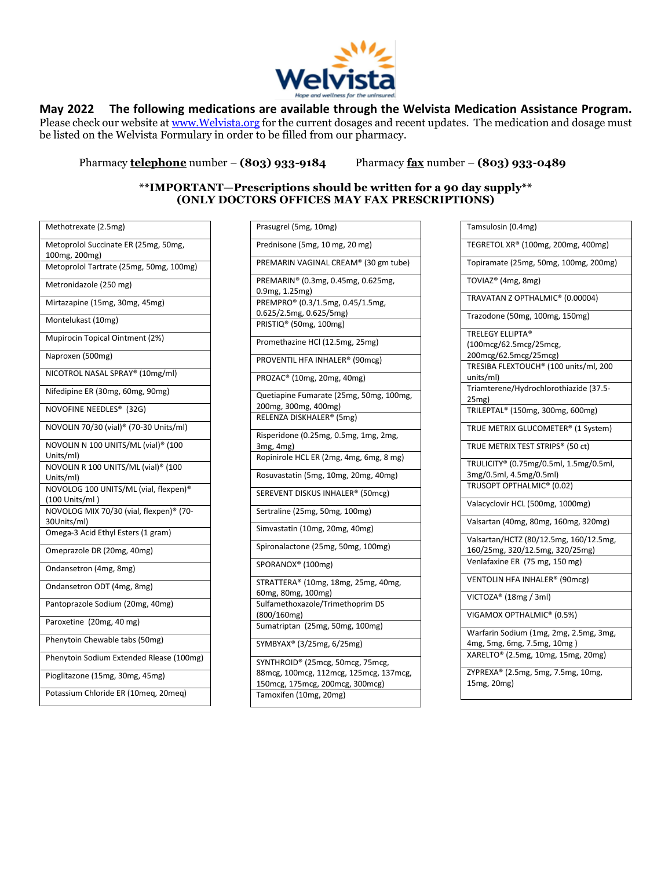

## **May 2022 The following medications are available through the Welvista Medication Assistance Program.**

Please check our website a[t www.Welvista.org](http://www.welvista.org/) for the current dosages and recent updates. The medication and dosage must be listed on the Welvista Formulary in order to be filled from our pharmacy.

Pharmacy **telephone** number – **(803) 933-9184** Pharmacy **fax** number – **(803) 933-0489**

### **\*\*IMPORTANT—Prescriptions should be written for a 90 day supply\*\* (ONLY DOCTORS OFFICES MAY FAX PRESCRIPTIONS)**

| Methotrexate (2.5mg)                                |
|-----------------------------------------------------|
| Metoprolol Succinate ER (25mg, 50mg,                |
| 100mg, 200mg)                                       |
| Metoprolol Tartrate (25mg, 50mg, 100mg)             |
| Metronidazole (250 mg)                              |
| Mirtazapine (15mg, 30mg, 45mg)                      |
| Montelukast (10mg)                                  |
| Mupirocin Topical Ointment (2%)                     |
| Naproxen (500mg)                                    |
| NICOTROL NASAL SPRAY® (10mg/ml)                     |
| Nifedipine ER (30mg, 60mg, 90mg)                    |
| NOVOFINE NEEDLES® (32G)                             |
| NOVOLIN 70/30 (vial) <sup>®</sup> (70-30 Units/ml)  |
| NOVOLIN N 100 UNITS/ML (vial) <sup>®</sup> (100     |
| Units/ml)                                           |
| NOVOLIN R 100 UNITS/ML (vial) <sup>®</sup> (100     |
| Units/ml)                                           |
| NOVOLOG 100 UNITS/ML (vial, flexpen)®               |
| (100 Units/ml)                                      |
| NOVOLOG MIX 70/30 (vial, flexpen) <sup>®</sup> (70- |
| 30Units/ml)                                         |
| Omega-3 Acid Ethyl Esters (1 gram)                  |
| Omeprazole DR (20mg, 40mg)                          |
| Ondansetron (4mg, 8mg)                              |
| Ondansetron ODT (4mg, 8mg)                          |
| Pantoprazole Sodium (20mg, 40mg)                    |
| Paroxetine (20mg, 40 mg)                            |
| Phenytoin Chewable tabs (50mg)                      |
| Phenytoin Sodium Extended Rlease (100mg)            |
| Pioglitazone (15mg, 30mg, 45mg)                     |
| Potassium Chloride ER (10meq, 20meq)                |
|                                                     |

| Prasugrel (5mg, 10mg)                   |
|-----------------------------------------|
| Prednisone (5mg, 10 mg, 20 mg)          |
| PREMARIN VAGINAL CREAM® (30 gm tube)    |
| PREMARIN® (0.3mg, 0.45mg, 0.625mg,      |
| 0.9mg, 1.25mg)                          |
| PREMPRO® (0.3/1.5mg, 0.45/1.5mg,        |
| 0.625/2.5mg, 0.625/5mg)                 |
| PRISTIQ <sup>®</sup> (50mg, 100mg)      |
| Promethazine HCl (12.5mg, 25mg)         |
| PROVENTIL HFA INHALER® (90mcg)          |
| PROZAC® (10mg, 20mg, 40mg)              |
| Quetiapine Fumarate (25mg, 50mg, 100mg, |
| 200mg, 300mg, 400mg)                    |
| RELENZA DISKHALER® (5mg)                |
| Risperidone (0.25mg, 0.5mg, 1mg, 2mg,   |
| 3mg, 4mg)                               |
| Ropinirole HCL ER (2mg, 4mg, 6mg, 8 mg) |
| Rosuvastatin (5mg, 10mg, 20mg, 40mg)    |
| SEREVENT DISKUS INHALER® (50mcg)        |
| Sertraline (25mg, 50mg, 100mg)          |
| Simvastatin (10mg, 20mg, 40mg)          |
| Spironalactone (25mg, 50mg, 100mg)      |
| SPORANOX <sup>®</sup> (100mg)           |
| STRATTERA® (10mg, 18mg, 25mg, 40mg,     |
| 60mg, 80mg, 100mg)                      |
| Sulfamethoxazole/Trimethoprim DS        |
| (800/160mg)                             |
| Sumatriptan (25mg, 50mg, 100mg)         |
| SYMBYAX® (3/25mg, 6/25mg)               |
| SYNTHROID® (25mcg, 50mcg, 75mcg,        |
| 88mcg, 100mcg, 112mcg, 125mcg, 137mcg,  |
| 150mcg, 175mcg, 200mcg, 300mcg)         |
| Tamoxifen (10mg, 20mg)                  |

| Tamsulosin (0.4mg)                     |
|----------------------------------------|
| TEGRETOL XR® (100mg, 200mg, 400mg)     |
| Topiramate (25mg, 50mg, 100mg, 200mg)  |
| TOVIAZ® (4mg, 8mg)                     |
| TRAVATAN Z OPTHALMIC® (0.00004)        |
| Trazodone (50mg, 100mg, 150mg)         |
| TRELEGY ELLIPTA®                       |
| (100mcg/62.5mcg/25mcg,                 |
| 200mcg/62.5mcg/25mcg)                  |
| TRESIBA FLEXTOUCH® (100 units/ml, 200  |
| units/ml)                              |
| Triamterene/Hydrochlorothiazide (37.5- |
| 25mg)                                  |
| TRILEPTAL® (150mg, 300mg, 600mg)       |
|                                        |
| TRUE METRIX GLUCOMETER® (1 System)     |
| TRUE METRIX TEST STRIPS® (50 ct)       |
| TRULICITY® (0.75mg/0.5ml, 1.5mg/0.5ml, |
| 3mg/0.5ml, 4.5mg/0.5ml)                |
| TRUSOPT OPTHALMIC® (0.02)              |
| Valacyclovir HCL (500mg, 1000mg)       |
| Valsartan (40mg, 80mg, 160mg, 320mg)   |
| Valsartan/HCTZ (80/12.5mg, 160/12.5mg, |
| 160/25mg, 320/12.5mg, 320/25mg)        |
| Venlafaxine ER (75 mg, 150 mg)         |
| VENTOLIN HFA INHALER® (90mcg)          |
| VICTOZA® (18mg / 3ml)                  |
| VIGAMOX OPTHALMIC® (0.5%)              |
| Warfarin Sodium (1mg, 2mg, 2.5mg, 3mg, |
| 4mg, 5mg, 6mg, 7.5mg, 10mg)            |
| XARELTO® (2.5mg, 10mg, 15mg, 20mg)     |
| ZYPREXA® (2.5mg, 5mg, 7.5mg, 10mg,     |
| 15mg, 20mg)                            |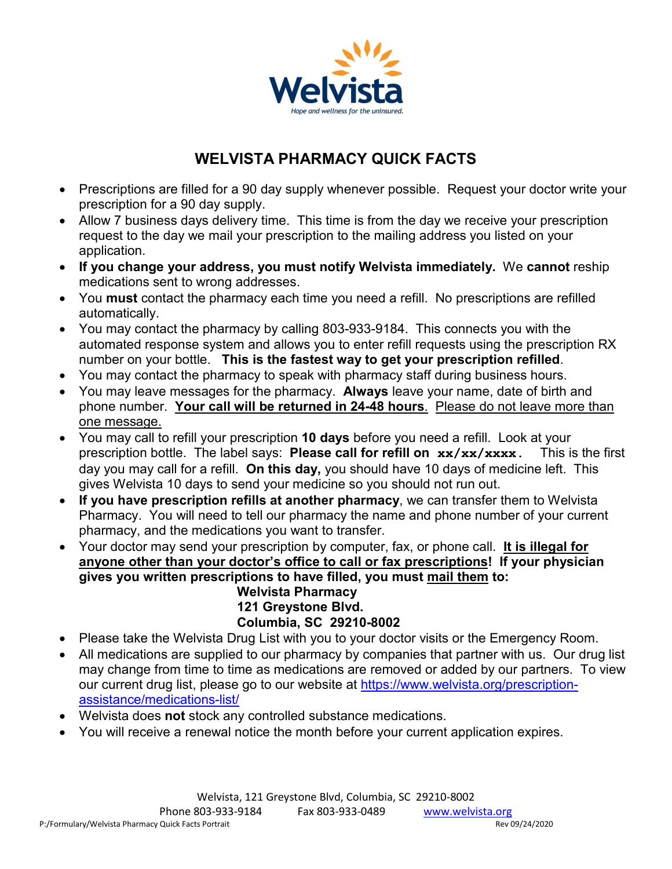

# **WELVISTA PHARMACY QUICK FACTS**

- Prescriptions are filled for a 90 day supply whenever possible. Request your doctor write your prescription for a 90 day supply.
- Allow 7 business days delivery time. This time is from the day we receive your prescription request to the day we mail your prescription to the mailing address you listed on your application.
- **If you change your address, you must notify Welvista immediately.** We **cannot** reship medications sent to wrong addresses.
- You **must** contact the pharmacy each time you need a refill. No prescriptions are refilled automatically.
- You may contact the pharmacy by calling 803-933-9184. This connects you with the automated response system and allows you to enter refill requests using the prescription RX number on your bottle. **This is the fastest way to get your prescription refilled**.
- You may contact the pharmacy to speak with pharmacy staff during business hours.
- You may leave messages for the pharmacy. **Always** leave your name, date of birth and phone number. **Your call will be returned in 24-48 hours**. Please do not leave more than one message.
- You may call to refill your prescription **10 days** before you need a refill. Look at your prescription bottle. The label says: **Please call for refill on xx/xx/xxxx.** This is the first day you may call for a refill. **On this day,** you should have 10 days of medicine left. This gives Welvista 10 days to send your medicine so you should not run out.
- **If you have prescription refills at another pharmacy**, we can transfer them to Welvista Pharmacy. You will need to tell our pharmacy the name and phone number of your current pharmacy, and the medications you want to transfer.
- Your doctor may send your prescription by computer, fax, or phone call. **It is illegal for anyone other than your doctor's office to call or fax prescriptions! If your physician gives you written prescriptions to have filled, you must mail them to: Welvista Pharmacy**

# **121 Greystone Blvd. Columbia, SC 29210-8002**

- Please take the Welvista Drug List with you to your doctor visits or the Emergency Room.
- All medications are supplied to our pharmacy by companies that partner with us. Our drug list may change from time to time as medications are removed or added by our partners. To view our current drug list, please go to our website at [https://www.welvista.org/prescription](https://www.welvista.org/prescription-assistance/medications-list/)[assistance/medications-list/](https://www.welvista.org/prescription-assistance/medications-list/)
- Welvista does **not** stock any controlled substance medications.
- You will receive a renewal notice the month before your current application expires.